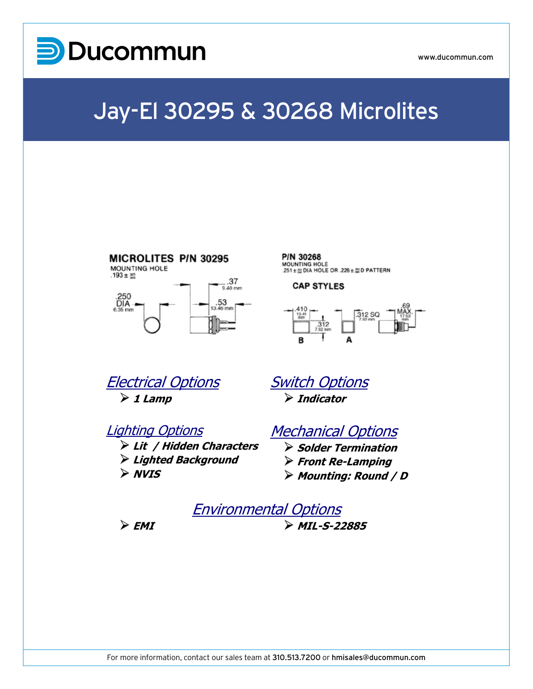

www.ducommun.com

## Jay-El 30295 & 30268 Microlites



P/N 30268 MOUNTING HOLE  $251 \pm \frac{m}{20}$  DIA HOLE OR .226  $\pm \frac{m}{20}$  D PATTERN

### **CAP STYLES**



Electrical Options  $\triangleright$  1 Lamp

> ¾ **Lit / Hidden Characters** ¾ **Lighted Background**

Lighting Options

Switch Options ¾ **Indicator**

### Mechanical Options

- ¾ **Solder Termination**  ¾ **Front Re-Lamping**
- ¾ **Mounting: Round / D**



¾ **NVIS**